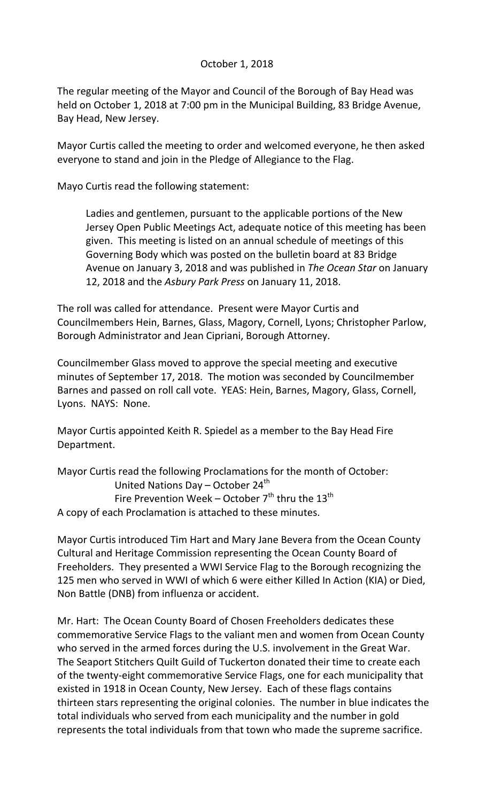## October 1, 2018

The regular meeting of the Mayor and Council of the Borough of Bay Head was held on October 1, 2018 at 7:00 pm in the Municipal Building, 83 Bridge Avenue, Bay Head, New Jersey.

Mayor Curtis called the meeting to order and welcomed everyone, he then asked everyone to stand and join in the Pledge of Allegiance to the Flag.

Mayo Curtis read the following statement:

Ladies and gentlemen, pursuant to the applicable portions of the New Jersey Open Public Meetings Act, adequate notice of this meeting has been given. This meeting is listed on an annual schedule of meetings of this Governing Body which was posted on the bulletin board at 83 Bridge Avenue on January 3, 2018 and was published in *The Ocean Star* on January 12, 2018 and the *Asbury Park Press* on January 11, 2018.

The roll was called for attendance. Present were Mayor Curtis and Councilmembers Hein, Barnes, Glass, Magory, Cornell, Lyons; Christopher Parlow, Borough Administrator and Jean Cipriani, Borough Attorney.

Councilmember Glass moved to approve the special meeting and executive minutes of September 17, 2018. The motion was seconded by Councilmember Barnes and passed on roll call vote. YEAS: Hein, Barnes, Magory, Glass, Cornell, Lyons. NAYS: None.

Mayor Curtis appointed Keith R. Spiedel as a member to the Bay Head Fire Department.

Mayor Curtis read the following Proclamations for the month of October: United Nations Day – October  $24^{th}$ Fire Prevention Week – October  $7<sup>th</sup>$  thru the 13<sup>th</sup> A copy of each Proclamation is attached to these minutes.

Mayor Curtis introduced Tim Hart and Mary Jane Bevera from the Ocean County Cultural and Heritage Commission representing the Ocean County Board of Freeholders. They presented a WWI Service Flag to the Borough recognizing the 125 men who served in WWI of which 6 were either Killed In Action (KIA) or Died, Non Battle (DNB) from influenza or accident.

Mr. Hart: The Ocean County Board of Chosen Freeholders dedicates these commemorative Service Flags to the valiant men and women from Ocean County who served in the armed forces during the U.S. involvement in the Great War. The Seaport Stitchers Quilt Guild of Tuckerton donated their time to create each of the twenty-eight commemorative Service Flags, one for each municipality that existed in 1918 in Ocean County, New Jersey. Each of these flags contains thirteen stars representing the original colonies. The number in blue indicates the total individuals who served from each municipality and the number in gold represents the total individuals from that town who made the supreme sacrifice.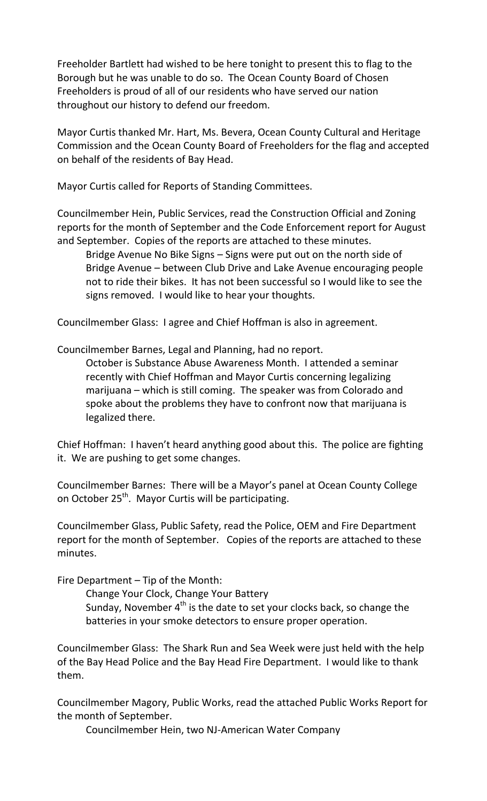Freeholder Bartlett had wished to be here tonight to present this to flag to the Borough but he was unable to do so. The Ocean County Board of Chosen Freeholders is proud of all of our residents who have served our nation throughout our history to defend our freedom.

Mayor Curtis thanked Mr. Hart, Ms. Bevera, Ocean County Cultural and Heritage Commission and the Ocean County Board of Freeholders for the flag and accepted on behalf of the residents of Bay Head.

Mayor Curtis called for Reports of Standing Committees.

Councilmember Hein, Public Services, read the Construction Official and Zoning reports for the month of September and the Code Enforcement report for August and September. Copies of the reports are attached to these minutes.

Bridge Avenue No Bike Signs – Signs were put out on the north side of Bridge Avenue – between Club Drive and Lake Avenue encouraging people not to ride their bikes. It has not been successful so I would like to see the signs removed. I would like to hear your thoughts.

Councilmember Glass: I agree and Chief Hoffman is also in agreement.

Councilmember Barnes, Legal and Planning, had no report.

October is Substance Abuse Awareness Month. I attended a seminar recently with Chief Hoffman and Mayor Curtis concerning legalizing marijuana – which is still coming. The speaker was from Colorado and spoke about the problems they have to confront now that marijuana is legalized there.

Chief Hoffman: I haven't heard anything good about this. The police are fighting it. We are pushing to get some changes.

Councilmember Barnes: There will be a Mayor's panel at Ocean County College on October 25<sup>th</sup>. Mayor Curtis will be participating.

Councilmember Glass, Public Safety, read the Police, OEM and Fire Department report for the month of September. Copies of the reports are attached to these minutes.

Fire Department – Tip of the Month:

Change Your Clock, Change Your Battery Sunday, November  $4<sup>th</sup>$  is the date to set your clocks back, so change the batteries in your smoke detectors to ensure proper operation.

Councilmember Glass: The Shark Run and Sea Week were just held with the help of the Bay Head Police and the Bay Head Fire Department. I would like to thank them.

Councilmember Magory, Public Works, read the attached Public Works Report for the month of September.

Councilmember Hein, two NJ-American Water Company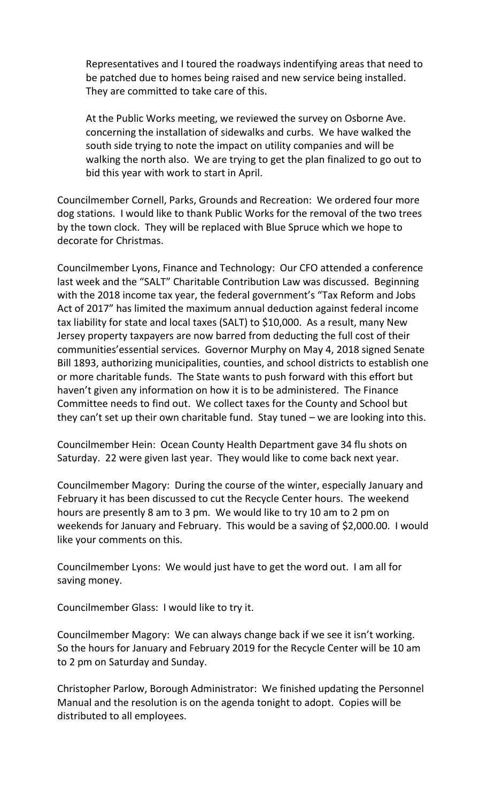Representatives and I toured the roadways indentifying areas that need to be patched due to homes being raised and new service being installed. They are committed to take care of this.

At the Public Works meeting, we reviewed the survey on Osborne Ave. concerning the installation of sidewalks and curbs. We have walked the south side trying to note the impact on utility companies and will be walking the north also. We are trying to get the plan finalized to go out to bid this year with work to start in April.

Councilmember Cornell, Parks, Grounds and Recreation: We ordered four more dog stations. I would like to thank Public Works for the removal of the two trees by the town clock. They will be replaced with Blue Spruce which we hope to decorate for Christmas.

Councilmember Lyons, Finance and Technology: Our CFO attended a conference last week and the "SALT" Charitable Contribution Law was discussed. Beginning with the 2018 income tax year, the federal government's "Tax Reform and Jobs Act of 2017" has limited the maximum annual deduction against federal income tax liability for state and local taxes (SALT) to \$10,000. As a result, many New Jersey property taxpayers are now barred from deducting the full cost of their communities'essential services. Governor Murphy on May 4, 2018 signed Senate Bill 1893, authorizing municipalities, counties, and school districts to establish one or more charitable funds. The State wants to push forward with this effort but haven't given any information on how it is to be administered. The Finance Committee needs to find out. We collect taxes for the County and School but they can't set up their own charitable fund. Stay tuned – we are looking into this.

Councilmember Hein: Ocean County Health Department gave 34 flu shots on Saturday. 22 were given last year. They would like to come back next year.

Councilmember Magory: During the course of the winter, especially January and February it has been discussed to cut the Recycle Center hours. The weekend hours are presently 8 am to 3 pm. We would like to try 10 am to 2 pm on weekends for January and February. This would be a saving of \$2,000.00. I would like your comments on this.

Councilmember Lyons: We would just have to get the word out. I am all for saving money.

Councilmember Glass: I would like to try it.

Councilmember Magory: We can always change back if we see it isn't working. So the hours for January and February 2019 for the Recycle Center will be 10 am to 2 pm on Saturday and Sunday.

Christopher Parlow, Borough Administrator: We finished updating the Personnel Manual and the resolution is on the agenda tonight to adopt. Copies will be distributed to all employees.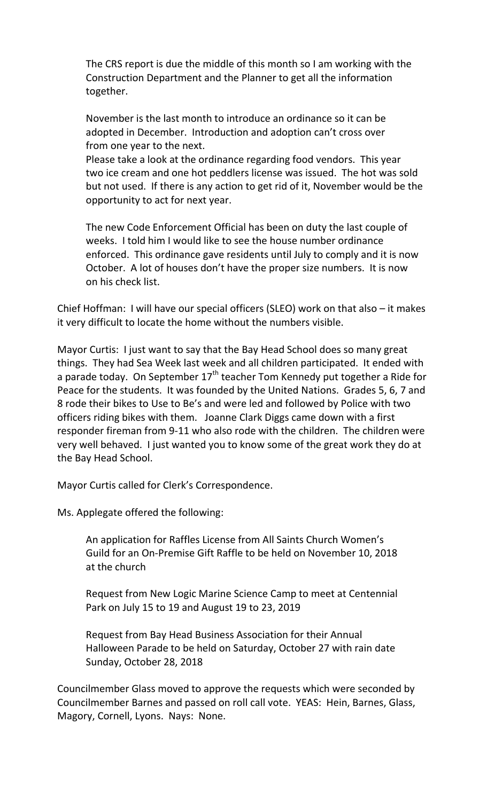The CRS report is due the middle of this month so I am working with the Construction Department and the Planner to get all the information together.

November is the last month to introduce an ordinance so it can be adopted in December. Introduction and adoption can't cross over from one year to the next.

Please take a look at the ordinance regarding food vendors. This year two ice cream and one hot peddlers license was issued. The hot was sold but not used. If there is any action to get rid of it, November would be the opportunity to act for next year.

The new Code Enforcement Official has been on duty the last couple of weeks. I told him I would like to see the house number ordinance enforced. This ordinance gave residents until July to comply and it is now October. A lot of houses don't have the proper size numbers. It is now on his check list.

Chief Hoffman: I will have our special officers (SLEO) work on that also – it makes it very difficult to locate the home without the numbers visible.

Mayor Curtis: I just want to say that the Bay Head School does so many great things. They had Sea Week last week and all children participated. It ended with a parade today. On September  $17<sup>th</sup>$  teacher Tom Kennedy put together a Ride for Peace for the students. It was founded by the United Nations. Grades 5, 6, 7 and 8 rode their bikes to Use to Be's and were led and followed by Police with two officers riding bikes with them. Joanne Clark Diggs came down with a first responder fireman from 9-11 who also rode with the children. The children were very well behaved. I just wanted you to know some of the great work they do at the Bay Head School.

Mayor Curtis called for Clerk's Correspondence.

Ms. Applegate offered the following:

An application for Raffles License from All Saints Church Women's Guild for an On-Premise Gift Raffle to be held on November 10, 2018 at the church

Request from New Logic Marine Science Camp to meet at Centennial Park on July 15 to 19 and August 19 to 23, 2019

Request from Bay Head Business Association for their Annual Halloween Parade to be held on Saturday, October 27 with rain date Sunday, October 28, 2018

Councilmember Glass moved to approve the requests which were seconded by Councilmember Barnes and passed on roll call vote. YEAS: Hein, Barnes, Glass, Magory, Cornell, Lyons. Nays: None.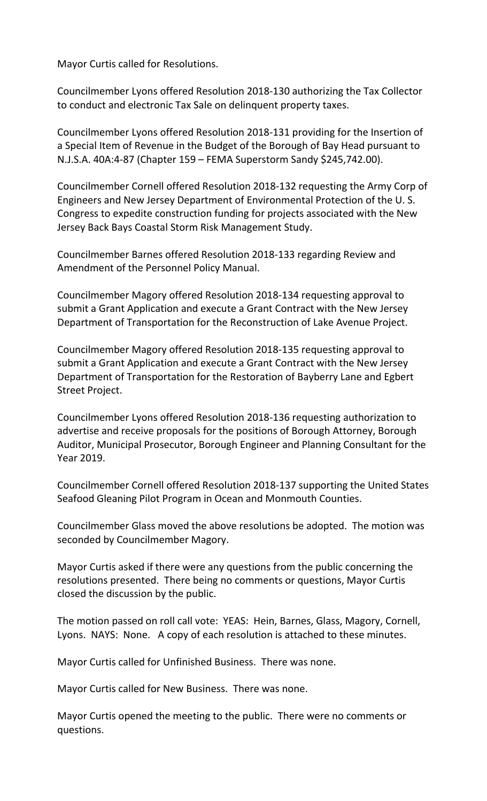Mayor Curtis called for Resolutions.

Councilmember Lyons offered Resolution 2018-130 authorizing the Tax Collector to conduct and electronic Tax Sale on delinquent property taxes.

Councilmember Lyons offered Resolution 2018-131 providing for the Insertion of a Special Item of Revenue in the Budget of the Borough of Bay Head pursuant to N.J.S.A. 40A:4-87 (Chapter 159 – FEMA Superstorm Sandy \$245,742.00).

Councilmember Cornell offered Resolution 2018-132 requesting the Army Corp of Engineers and New Jersey Department of Environmental Protection of the U. S. Congress to expedite construction funding for projects associated with the New Jersey Back Bays Coastal Storm Risk Management Study.

Councilmember Barnes offered Resolution 2018-133 regarding Review and Amendment of the Personnel Policy Manual.

Councilmember Magory offered Resolution 2018-134 requesting approval to submit a Grant Application and execute a Grant Contract with the New Jersey Department of Transportation for the Reconstruction of Lake Avenue Project.

Councilmember Magory offered Resolution 2018-135 requesting approval to submit a Grant Application and execute a Grant Contract with the New Jersey Department of Transportation for the Restoration of Bayberry Lane and Egbert Street Project.

Councilmember Lyons offered Resolution 2018-136 requesting authorization to advertise and receive proposals for the positions of Borough Attorney, Borough Auditor, Municipal Prosecutor, Borough Engineer and Planning Consultant for the Year 2019.

Councilmember Cornell offered Resolution 2018-137 supporting the United States Seafood Gleaning Pilot Program in Ocean and Monmouth Counties.

Councilmember Glass moved the above resolutions be adopted. The motion was seconded by Councilmember Magory.

Mayor Curtis asked if there were any questions from the public concerning the resolutions presented. There being no comments or questions, Mayor Curtis closed the discussion by the public.

The motion passed on roll call vote: YEAS: Hein, Barnes, Glass, Magory, Cornell, Lyons. NAYS: None. A copy of each resolution is attached to these minutes.

Mayor Curtis called for Unfinished Business. There was none.

Mayor Curtis called for New Business. There was none.

Mayor Curtis opened the meeting to the public. There were no comments or questions.